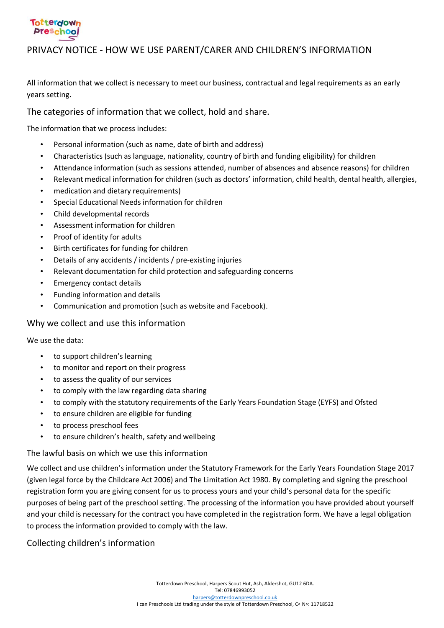### **Totterdown Preschool**

### PRIVACY NOTICE - HOW WE USE PARENT/CARER AND CHILDREN'S INFORMATION

All information that we collect is necessary to meet our business, contractual and legal requirements as an early years setting.

The categories of information that we collect, hold and share.

The information that we process includes:

- Personal information (such as name, date of birth and address)
- Characteristics (such as language, nationality, country of birth and funding eligibility) for children
- Attendance information (such as sessions attended, number of absences and absence reasons) for children
- Relevant medical information for children (such as doctors' information, child health, dental health, allergies,
- medication and dietary requirements)
- Special Educational Needs information for children
- Child developmental records
- Assessment information for children
- Proof of identity for adults
- Birth certificates for funding for children
- Details of any accidents / incidents / pre-existing injuries
- Relevant documentation for child protection and safeguarding concerns
- Emergency contact details
- Funding information and details
- Communication and promotion (such as website and Facebook).

#### Why we collect and use this information

We use the data:

- to support children's learning
- to monitor and report on their progress
- to assess the quality of our services
- to comply with the law regarding data sharing
- to comply with the statutory requirements of the Early Years Foundation Stage (EYFS) and Ofsted
- to ensure children are eligible for funding
- to process preschool fees
- to ensure children's health, safety and wellbeing

#### The lawful basis on which we use this information

We collect and use children's information under the Statutory Framework for the Early Years Foundation Stage 2017 (given legal force by the Childcare Act 2006) and The Limitation Act 1980. By completing and signing the preschool registration form you are giving consent for us to process yours and your child's personal data for the specific purposes of being part of the preschool setting. The processing of the information you have provided about yourself and your child is necessary for the contract you have completed in the registration form. We have a legal obligation to process the information provided to comply with the law.

#### Collecting children's information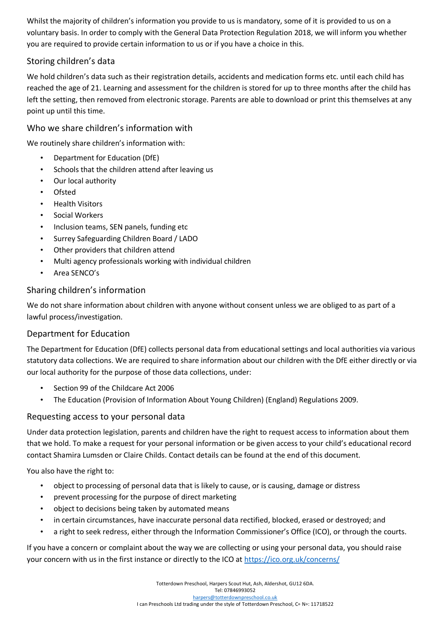Whilst the majority of children's information you provide to us is mandatory, some of it is provided to us on a voluntary basis. In order to comply with the General Data Protection Regulation 2018, we will inform you whether you are required to provide certain information to us or if you have a choice in this.

## Storing children's data

We hold children's data such as their registration details, accidents and medication forms etc. until each child has reached the age of 21. Learning and assessment for the children is stored for up to three months after the child has left the setting, then removed from electronic storage. Parents are able to download or print this themselves at any point up until this time.

#### Who we share children's information with

We routinely share children's information with:

- Department for Education (DfE)
- Schools that the children attend after leaving us
- Our local authority
- Ofsted
- Health Visitors
- Social Workers
- Inclusion teams, SEN panels, funding etc
- Surrey Safeguarding Children Board / LADO
- Other providers that children attend
- Multi agency professionals working with individual children
- Area SENCO's

#### Sharing children's information

We do not share information about children with anyone without consent unless we are obliged to as part of a lawful process/investigation.

#### Department for Education

The Department for Education (DfE) collects personal data from educational settings and local authorities via various statutory data collections. We are required to share information about our children with the DfE either directly or via our local authority for the purpose of those data collections, under:

- Section 99 of the Childcare Act 2006
- The Education (Provision of Information About Young Children) (England) Regulations 2009.

#### Requesting access to your personal data

Under data protection legislation, parents and children have the right to request access to information about them that we hold. To make a request for your personal information or be given access to your child's educational record contact Shamira Lumsden or Claire Childs. Contact details can be found at the end of this document.

You also have the right to:

- object to processing of personal data that is likely to cause, or is causing, damage or distress
- prevent processing for the purpose of direct marketing
- object to decisions being taken by automated means
- in certain circumstances, have inaccurate personal data rectified, blocked, erased or destroyed; and
- a right to seek redress, either through the Information Commissioner's Office (ICO), or through the courts.

If you have a concern or complaint about the way we are collecting or using your personal data, you should raise your concern with us in the first instance or directly to the ICO at<https://ico.org.uk/concerns/>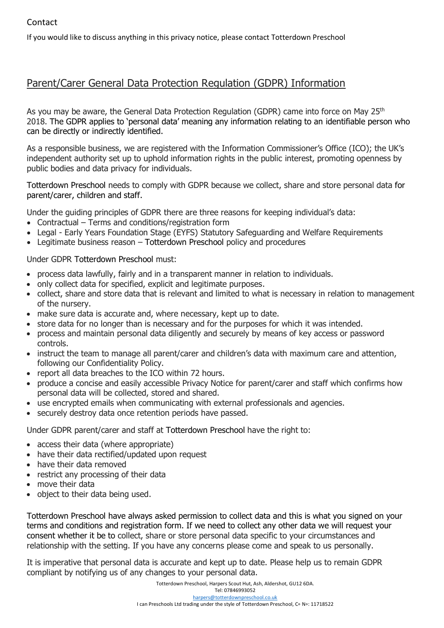If you would like to discuss anything in this privacy notice, please contact Totterdown Preschool

# Parent/Carer General Data Protection Regulation (GDPR) Information

As you may be aware, the General Data Protection Regulation (GDPR) came into force on May 25<sup>th</sup> 2018. The GDPR applies to 'personal data' meaning any information relating to an identifiable person who can be directly or indirectly identified.

As a responsible business, we are registered with the Information Commissioner's Office (ICO); the UK's independent authority set up to uphold information rights in the public interest, promoting openness by public bodies and data privacy for individuals.

Totterdown Preschool needs to comply with GDPR because we collect, share and store personal data for parent/carer, children and staff.

Under the guiding principles of GDPR there are three reasons for keeping individual's data:

- Contractual Terms and conditions/registration form
- Legal Early Years Foundation Stage (EYFS) Statutory Safeguarding and Welfare Requirements
- Legitimate business reason Totterdown Preschool policy and procedures

Under GDPR Totterdown Preschool must:

- process data lawfully, fairly and in a transparent manner in relation to individuals.
- only collect data for specified, explicit and legitimate purposes.
- collect, share and store data that is relevant and limited to what is necessary in relation to management of the nursery.
- make sure data is accurate and, where necessary, kept up to date.
- store data for no longer than is necessary and for the purposes for which it was intended.
- process and maintain personal data diligently and securely by means of key access or password controls.
- instruct the team to manage all parent/carer and children's data with maximum care and attention, following our Confidentiality Policy.
- report all data breaches to the ICO within 72 hours.
- produce a concise and easily accessible Privacy Notice for parent/carer and staff which confirms how personal data will be collected, stored and shared.
- use encrypted emails when communicating with external professionals and agencies.
- securely destroy data once retention periods have passed.

Under GDPR parent/carer and staff at Totterdown Preschool have the right to:

- access their data (where appropriate)
- have their data rectified/updated upon request
- have their data removed
- restrict any processing of their data
- move their data
- object to their data being used.

Totterdown Preschool have always asked permission to collect data and this is what you signed on your terms and conditions and registration form. If we need to collect any other data we will request your consent whether it be to collect, share or store personal data specific to your circumstances and relationship with the setting. If you have any concerns please come and speak to us personally.

It is imperative that personal data is accurate and kept up to date. Please help us to remain GDPR compliant by notifying us of any changes to your personal data.